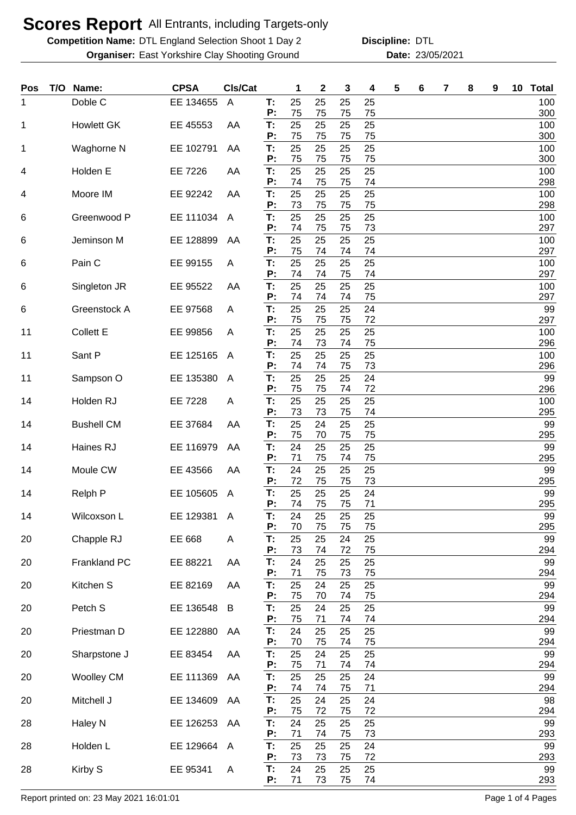**Competition Name: DTL England Selection Shoot 1 Day 2 Discipline: DTL Organiser:** East Yorkshire Clay Shooting Ground **23/05/2021** Date: 23/05/2021

**Discipline:**

| Pos | T/O | Name:             | <b>CPSA</b>    | CIs/Cat        |          | 1        | 2        | 3        | 4        | 5 | 6 | 7 | 8 | 9 | 10 | <b>Total</b> |
|-----|-----|-------------------|----------------|----------------|----------|----------|----------|----------|----------|---|---|---|---|---|----|--------------|
| 1   |     | Doble C           | EE 134655      | A              | T:<br>P: | 25<br>75 | 25<br>75 | 25<br>75 | 25<br>75 |   |   |   |   |   |    | 100<br>300   |
| 1   |     | <b>Howlett GK</b> | EE 45553       | AA             | T:<br>P: | 25<br>75 | 25<br>75 | 25<br>75 | 25<br>75 |   |   |   |   |   |    | 100<br>300   |
| 1   |     | Waghorne N        | EE 102791      | AA             | T:<br>P: | 25<br>75 | 25<br>75 | 25<br>75 | 25<br>75 |   |   |   |   |   |    | 100<br>300   |
| 4   |     | Holden E          | EE 7226        | AA             | T:       | 25       | 25       | 25       | 25       |   |   |   |   |   |    | 100          |
| 4   |     | Moore IM          | EE 92242       | AA             | P:<br>T: | 74<br>25 | 75<br>25 | 75<br>25 | 74<br>25 |   |   |   |   |   |    | 298<br>100   |
| 6   |     | Greenwood P       | EE 111034      | A              | P:<br>T: | 73<br>25 | 75<br>25 | 75<br>25 | 75<br>25 |   |   |   |   |   |    | 298<br>100   |
| 6   |     | Jeminson M        | EE 128899      | AA             | P:<br>T: | 74<br>25 | 75<br>25 | 75<br>25 | 73<br>25 |   |   |   |   |   |    | 297<br>100   |
| 6   |     | Pain C            | EE 99155       | A              | P:<br>T: | 75<br>25 | 74<br>25 | 74<br>25 | 74<br>25 |   |   |   |   |   |    | 297<br>100   |
| 6   |     | Singleton JR      | EE 95522       | AA             | P:<br>T: | 74<br>25 | 74<br>25 | 75<br>25 | 74<br>25 |   |   |   |   |   |    | 297<br>100   |
| 6   |     | Greenstock A      | EE 97568       | A              | P:<br>T: | 74<br>25 | 74<br>25 | 74<br>25 | 75<br>24 |   |   |   |   |   |    | 297<br>99    |
| 11  |     | <b>Collett E</b>  | EE 99856       | A              | P:<br>T: | 75<br>25 | 75<br>25 | 75<br>25 | 72<br>25 |   |   |   |   |   |    | 297<br>100   |
| 11  |     | Sant P            | EE 125165      | A              | P:<br>T. | 74<br>25 | 73<br>25 | 74<br>25 | 75<br>25 |   |   |   |   |   |    | 296<br>100   |
|     |     |                   |                |                | P:       | 74       | 74       | 75       | 73       |   |   |   |   |   |    | 296          |
| 11  |     | Sampson O         | EE 135380      | A              | T:<br>P: | 25<br>75 | 25<br>75 | 25<br>74 | 24<br>72 |   |   |   |   |   |    | 99<br>296    |
| 14  |     | Holden RJ         | <b>EE 7228</b> | A              | T:<br>P: | 25<br>73 | 25<br>73 | 25<br>75 | 25<br>74 |   |   |   |   |   |    | 100<br>295   |
| 14  |     | <b>Bushell CM</b> | EE 37684       | AA             | T:<br>P: | 25<br>75 | 24<br>70 | 25<br>75 | 25<br>75 |   |   |   |   |   |    | 99<br>295    |
| 14  |     | Haines RJ         | EE 116979      | AA             | T.<br>P: | 24<br>71 | 25<br>75 | 25<br>74 | 25<br>75 |   |   |   |   |   |    | 99<br>295    |
| 14  |     | Moule CW          | EE 43566       | AA             | T:<br>P: | 24<br>72 | 25<br>75 | 25<br>75 | 25<br>73 |   |   |   |   |   |    | 99<br>295    |
| 14  |     | Relph P           | EE 105605      | $\overline{A}$ | Т:       | 25       | 25       | 25       | 24       |   |   |   |   |   |    | 99           |
| 14  |     | Wilcoxson L       | EE 129381      | $\overline{A}$ | P:<br>T: | 74<br>24 | 75<br>25 | 75<br>25 | 71<br>25 |   |   |   |   |   |    | 295<br>99    |
| 20  |     | Chapple RJ        | EE 668         | A              | P:<br>T: | 70<br>25 | 75<br>25 | 75<br>24 | 75<br>25 |   |   |   |   |   |    | 295<br>99    |
| 20  |     | Frankland PC      | EE 88221       | AA             | P:<br>T: | 73<br>24 | 74<br>25 | 72<br>25 | 75<br>25 |   |   |   |   |   |    | 294<br>99    |
| 20  |     | Kitchen S         | EE 82169       | AA             | P:<br>T: | 71<br>25 | 75<br>24 | 73<br>25 | 75<br>25 |   |   |   |   |   |    | 294<br>99    |
| 20  |     | Petch S           | EE 136548      | B              | P:<br>T: | 75<br>25 | 70<br>24 | 74<br>25 | 75<br>25 |   |   |   |   |   |    | 294<br>99    |
| 20  |     | Priestman D       | EE 122880      | AA             | P:<br>T: | 75<br>24 | 71<br>25 | 74<br>25 | 74<br>25 |   |   |   |   |   |    | 294<br>99    |
|     |     |                   |                |                | P:       | 70       | 75       | 74       | 75       |   |   |   |   |   |    | 294          |
| 20  |     | Sharpstone J      | EE 83454       | AA             | T:<br>P: | 25<br>75 | 24<br>71 | 25<br>74 | 25<br>74 |   |   |   |   |   |    | 99<br>294    |
| 20  |     | <b>Woolley CM</b> | EE 111369      | AA             | T:<br>P: | 25<br>74 | 25<br>74 | 25<br>75 | 24<br>71 |   |   |   |   |   |    | 99<br>294    |
| 20  |     | Mitchell J        | EE 134609      | AA             | T:<br>Ρ: | 25<br>75 | 24<br>72 | 25<br>75 | 24<br>72 |   |   |   |   |   |    | 98<br>294    |
| 28  |     | Haley N           | EE 126253      | AA             | T:<br>P: | 24<br>71 | 25<br>74 | 25<br>75 | 25<br>73 |   |   |   |   |   |    | 99<br>293    |
| 28  |     | Holden L          | EE 129664      | A              | T:       | 25<br>73 | 25       | 25       | 24       |   |   |   |   |   |    | 99           |
| 28  |     | Kirby S           | EE 95341       | A              | P:<br>T: | 24       | 73<br>25 | 75<br>25 | 72<br>25 |   |   |   |   |   |    | 293<br>99    |
|     |     |                   |                |                | P:       | 71       | 73       | 75       | 74       |   |   |   |   |   |    | 293          |

Report printed on: 23 May 2021 16:01:01 Page 1 of 4 Pages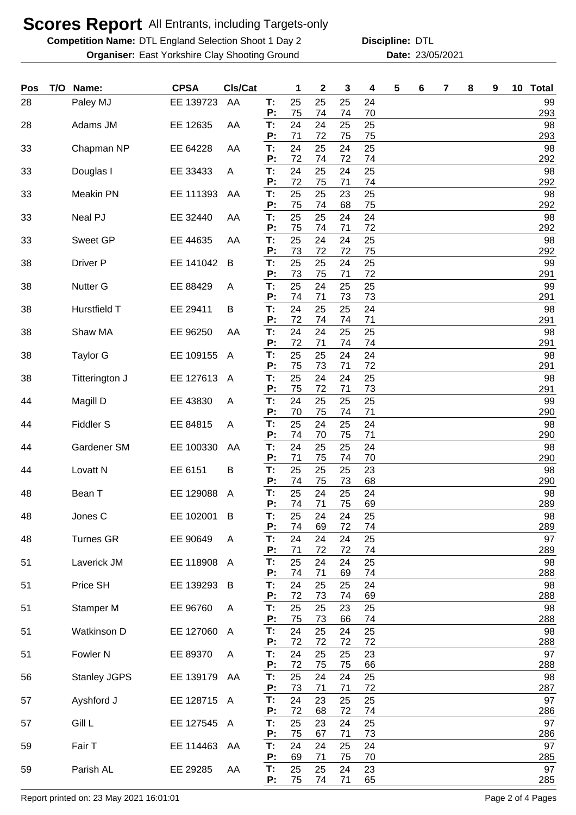**Competition Name: DTL England Selection Shoot 1 Day 2 Discipline: DTL Organiser:** East Yorkshire Clay Shooting Ground **23/05/2021** Date: 23/05/2021

**Discipline:**

| Pos | T/O | Name:               | <b>CPSA</b> | CIs/Cat      |                | 1        | $\mathbf 2$ | 3        | 4              | 5 | 6 | 7 | 8 | 9 | 10 | <b>Total</b> |
|-----|-----|---------------------|-------------|--------------|----------------|----------|-------------|----------|----------------|---|---|---|---|---|----|--------------|
| 28  |     | Paley MJ            | EE 139723   | AA           | Т:<br>P:       | 25<br>75 | 25<br>74    | 25<br>74 | 24<br>70       |   |   |   |   |   |    | 99<br>293    |
| 28  |     | Adams JM            | EE 12635    | AA           | T:<br>P:       | 24<br>71 | 24<br>72    | 25<br>75 | 25<br>75       |   |   |   |   |   |    | 98<br>293    |
| 33  |     | Chapman NP          | EE 64228    | AA           | T:<br>P:       | 24<br>72 | 25<br>74    | 24<br>72 | 25<br>74       |   |   |   |   |   |    | 98<br>292    |
| 33  |     | Douglas I           | EE 33433    | A            | T:<br>P:       | 24<br>72 | 25<br>75    | 24<br>71 | 25<br>74       |   |   |   |   |   |    | 98<br>292    |
| 33  |     | <b>Meakin PN</b>    | EE 111393   | AA           | T:<br>P:       | 25<br>75 | 25<br>74    | 23<br>68 | 25<br>75       |   |   |   |   |   |    | 98<br>292    |
| 33  |     | Neal PJ             | EE 32440    | AA           | T:<br>P:       | 25<br>75 | 25<br>74    | 24<br>71 | 24<br>72       |   |   |   |   |   |    | 98<br>292    |
| 33  |     | Sweet GP            | EE 44635    | AA           | T:<br>P:       | 25<br>73 | 24<br>72    | 24<br>72 | 25<br>75       |   |   |   |   |   |    | 98<br>292    |
| 38  |     | Driver P            | EE 141042   | B            | T:<br>P:       | 25<br>73 | 25<br>75    | 24<br>71 | 25<br>72       |   |   |   |   |   |    | 99<br>291    |
| 38  |     | Nutter G            | EE 88429    | A            | T:<br>P:       | 25<br>74 | 24<br>71    | 25<br>73 | 25<br>73       |   |   |   |   |   |    | 99<br>291    |
| 38  |     | Hurstfield T        | EE 29411    | B            | T:<br>P:       | 24<br>72 | 25<br>74    | 25<br>74 | 24<br>71       |   |   |   |   |   |    | 98<br>291    |
| 38  |     | Shaw MA             | EE 96250    | AA           | T:<br>P:       | 24<br>72 | 24<br>71    | 25<br>74 | 25<br>74       |   |   |   |   |   |    | 98<br>291    |
| 38  |     | <b>Taylor G</b>     | EE 109155   | $\mathsf{A}$ | T:<br>P:       | 25<br>75 | 25<br>73    | 24<br>71 | 24<br>72       |   |   |   |   |   |    | 98<br>291    |
| 38  |     | Titterington J      | EE 127613   | $\mathsf{A}$ | T:<br>P:       | 25<br>75 | 24<br>72    | 24<br>71 | 25<br>73       |   |   |   |   |   |    | 98<br>291    |
| 44  |     | Magill D            | EE 43830    | A            | T:<br>P:       | 24<br>70 | 25<br>75    | 25<br>74 | 25<br>71       |   |   |   |   |   |    | 99<br>290    |
| 44  |     | <b>Fiddler S</b>    | EE 84815    | A            | Т:<br>P:       | 25<br>74 | 24<br>70    | 25<br>75 | 24<br>71       |   |   |   |   |   |    | 98<br>290    |
| 44  |     | Gardener SM         | EE 100330   | AA           | T:<br>P:       | 24<br>71 | 25<br>75    | 25<br>74 | 24<br>70       |   |   |   |   |   |    | 98<br>290    |
| 44  |     | Lovatt N            | EE 6151     | B            | Т:<br>P:       | 25<br>74 | 25<br>75    | 25<br>73 | 23<br>68       |   |   |   |   |   |    | 98<br>290    |
| 48  |     | Bean T              | EE 129088   | A            | Т:<br>P:       | 25<br>74 | 24<br>71    | 25<br>75 | 24<br>69       |   |   |   |   |   |    | 98<br>289    |
| 48  |     | Jones C             | EE 102001   | B            | T:<br>P:       | 25<br>74 | 24<br>69    | 24<br>72 | 25<br>74       |   |   |   |   |   |    | 98<br>289    |
| 48  |     | <b>Turnes GR</b>    | EE 90649    | A            | T:<br>P:       | 24<br>71 | 24<br>72    | 24<br>72 | 25<br>74       |   |   |   |   |   |    | 97<br>289    |
| 51  |     | Laverick JM         | EE 118908   | A            | T:<br>P:       | 25<br>74 | 24<br>71    | 24<br>69 | 25<br>74       |   |   |   |   |   |    | 98<br>288    |
| 51  |     | Price SH            | EE 139293   | B            | T:<br>Ρ:       | 24<br>72 | 25<br>73    | 25<br>74 | 24<br>69       |   |   |   |   |   |    | 98<br>288    |
| 51  |     | Stamper M           | EE 96760    | A            | T:<br>P:       | 25<br>75 | 25<br>73    | 23<br>66 | 25             |   |   |   |   |   |    | 98<br>288    |
| 51  |     | Watkinson D         | EE 127060   | A            | T:             | 24<br>72 | 25<br>72    | 24<br>72 | 74<br>25<br>72 |   |   |   |   |   |    | 98           |
| 51  |     | Fowler <sub>N</sub> | EE 89370    | A            | P:<br>T:<br>P: | 24       | 25          | 25       | 23             |   |   |   |   |   |    | 288<br>97    |
| 56  |     | <b>Stanley JGPS</b> | EE 139179   | AA           | T:             | 72<br>25 | 75<br>24    | 75<br>24 | 66<br>25       |   |   |   |   |   |    | 288<br>98    |
| 57  |     | Ayshford J          | EE 128715   | A            | P:<br>T:       | 73<br>24 | 71<br>23    | 71<br>25 | 72<br>25       |   |   |   |   |   |    | 287<br>97    |
| 57  |     | Gill L              | EE 127545   | A            | P:<br>T:       | 72<br>25 | 68<br>23    | 72<br>24 | 74<br>25       |   |   |   |   |   |    | 286<br>97    |
| 59  |     | Fair T              | EE 114463   | AA           | P:<br>T:       | 75<br>24 | 67<br>24    | 71<br>25 | 73<br>24       |   |   |   |   |   |    | 286<br>97    |
| 59  |     | Parish AL           | EE 29285    | AA           | P:<br>T:       | 69<br>25 | 71<br>25    | 75<br>24 | 70<br>23       |   |   |   |   |   |    | 285<br>97    |
|     |     |                     |             |              | P:             | 75       | 74          | 71       | 65             |   |   |   |   |   |    | 285          |

Report printed on: 23 May 2021 16:01:01 Page 2 of 4 Pages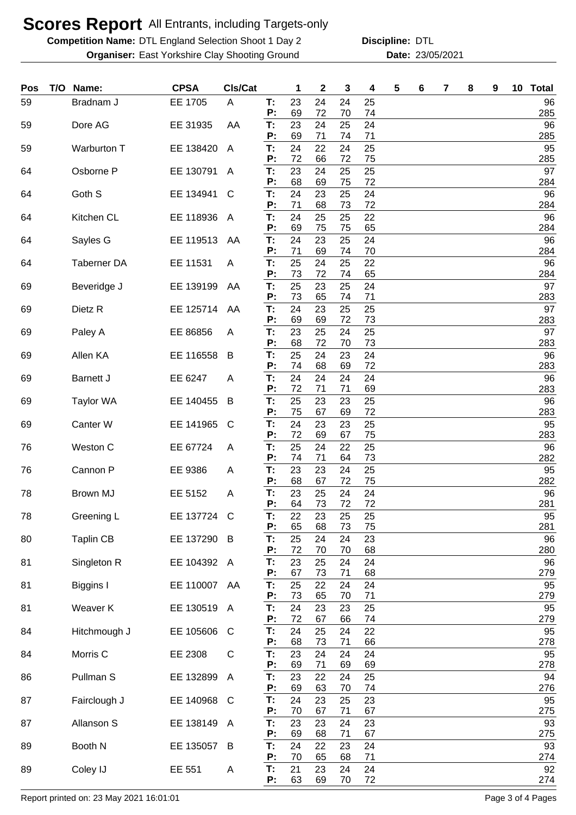**Competition Name: DTL England Selection Shoot 1 Day 2 Discipline: DTL Organiser:** East Yorkshire Clay Shooting Ground **23/05/2021** Date: 23/05/2021

**Discipline:**

| Pos | T/O | Name:              | <b>CPSA</b> | Cls/Cat |          | 1        | 2        | 3        | 4        | 5 | 6 | 7 | 8 | 9 | 10 | <b>Total</b> |
|-----|-----|--------------------|-------------|---------|----------|----------|----------|----------|----------|---|---|---|---|---|----|--------------|
| 59  |     | Bradnam J          | EE 1705     | A       | T:<br>Ρ: | 23<br>69 | 24<br>72 | 24<br>70 | 25<br>74 |   |   |   |   |   |    | 96<br>285    |
| 59  |     | Dore AG            | EE 31935    | AA      | T:<br>Ρ: | 23<br>69 | 24<br>71 | 25<br>74 | 24<br>71 |   |   |   |   |   |    | 96<br>285    |
| 59  |     | Warburton T        | EE 138420   | A       | T:<br>Ρ. | 24<br>72 | 22<br>66 | 24<br>72 | 25<br>75 |   |   |   |   |   |    | 95<br>285    |
| 64  |     | Osborne P          | EE 130791   | A       | T:<br>Ρ. | 23<br>68 | 24<br>69 | 25<br>75 | 25<br>72 |   |   |   |   |   |    | 97<br>284    |
| 64  |     | Goth S             | EE 134941   | C       | T:<br>Р: | 24<br>71 | 23<br>68 | 25<br>73 | 24<br>72 |   |   |   |   |   |    | 96<br>284    |
| 64  |     | Kitchen CL         | EE 118936   | A       | T:<br>P: | 24<br>69 | 25<br>75 | 25<br>75 | 22<br>65 |   |   |   |   |   |    | 96<br>284    |
| 64  |     | Sayles G           | EE 119513   | AA      | T:<br>Ρ: | 24<br>71 | 23<br>69 | 25<br>74 | 24<br>70 |   |   |   |   |   |    | 96<br>284    |
| 64  |     | <b>Taberner DA</b> | EE 11531    | A       | T:<br>P: | 25<br>73 | 24<br>72 | 25<br>74 | 22<br>65 |   |   |   |   |   |    | 96<br>284    |
| 69  |     | Beveridge J        | EE 139199   | AA      | T:<br>Ρ: | 25<br>73 | 23<br>65 | 25<br>74 | 24<br>71 |   |   |   |   |   |    | 97<br>283    |
| 69  |     | Dietz <sub>R</sub> | EE 125714   | AA      | T:<br>Ρ: | 24<br>69 | 23<br>69 | 25<br>72 | 25<br>73 |   |   |   |   |   |    | 97<br>283    |
| 69  |     | Paley A            | EE 86856    | A       | T:<br>P: | 23<br>68 | 25<br>72 | 24<br>70 | 25<br>73 |   |   |   |   |   |    | 97<br>283    |
| 69  |     | Allen KA           | EE 116558   | B       | T:<br>P: | 25<br>74 | 24<br>68 | 23<br>69 | 24<br>72 |   |   |   |   |   |    | 96<br>283    |
| 69  |     | <b>Barnett J</b>   | EE 6247     | A       | T.<br>P: | 24<br>72 | 24<br>71 | 24<br>71 | 24<br>69 |   |   |   |   |   |    | 96<br>283    |
| 69  |     | Taylor WA          | EE 140455   | B       | T.<br>P: | 25<br>75 | 23<br>67 | 23<br>69 | 25<br>72 |   |   |   |   |   |    | 96<br>283    |
| 69  |     | Canter W           | EE 141965   | C       | T:<br>Ρ: | 24<br>72 | 23<br>69 | 23<br>67 | 25<br>75 |   |   |   |   |   |    | 95<br>283    |
| 76  |     | Weston C           | EE 67724    | A       | T:<br>Ρ: | 25<br>74 | 24<br>71 | 22<br>64 | 25<br>73 |   |   |   |   |   |    | 96<br>282    |
| 76  |     | Cannon P           | EE 9386     | A       | T.<br>P: | 23<br>68 | 23<br>67 | 24<br>72 | 25<br>75 |   |   |   |   |   |    | 95<br>282    |
| 78  |     | <b>Brown MJ</b>    | EE 5152     | A       | Т:<br>P: | 23<br>64 | 25<br>73 | 24<br>72 | 24<br>72 |   |   |   |   |   |    | 96<br>281    |
| 78  |     | Greening L         | EE 137724 C |         | T:<br>P: | 22<br>65 | 23<br>68 | 25<br>73 | 25<br>75 |   |   |   |   |   |    | 95<br>281    |
| 80  |     | <b>Taplin CB</b>   | EE 137290   | B       | T:<br>P: | 25<br>72 | 24<br>70 | 24<br>70 | 23<br>68 |   |   |   |   |   |    | 96<br>280    |
| 81  |     | Singleton R        | EE 104392 A |         | Т.<br>P: | 23<br>67 | 25<br>73 | 24<br>71 | 24<br>68 |   |   |   |   |   |    | 96<br>279    |
| 81  |     | Biggins I          | EE 110007   | AA      | T:<br>P: | 25<br>73 | 22<br>65 | 24<br>70 | 24<br>71 |   |   |   |   |   |    | 95<br>279    |
| 81  |     | Weaver K           | EE 130519   | A       | T:<br>P: | 24<br>72 | 23<br>67 | 23<br>66 | 25<br>74 |   |   |   |   |   |    | 95<br>279    |
| 84  |     | Hitchmough J       | EE 105606   | C       | T:<br>P: | 24<br>68 | 25<br>73 | 24<br>71 | 22<br>66 |   |   |   |   |   |    | 95<br>278    |
| 84  |     | Morris C           | EE 2308     | C       | T:<br>P: | 23<br>69 | 24<br>71 | 24<br>69 | 24<br>69 |   |   |   |   |   |    | 95<br>278    |
| 86  |     | Pullman S          | EE 132899   | A       | Т:<br>P: | 23<br>69 | 22<br>63 | 24<br>70 | 25<br>74 |   |   |   |   |   |    | 94<br>276    |
| 87  |     | Fairclough J       | EE 140968   | C       | T.<br>P: | 24<br>70 | 23<br>67 | 25<br>71 | 23<br>67 |   |   |   |   |   |    | 95<br>275    |
| 87  |     | Allanson S         | EE 138149   | A       | T:<br>P: | 23<br>69 | 23<br>68 | 24<br>71 | 23<br>67 |   |   |   |   |   |    | 93<br>275    |
| 89  |     | Booth N            | EE 135057   | B       | T:<br>Ρ: | 24<br>70 | 22<br>65 | 23<br>68 | 24<br>71 |   |   |   |   |   |    | 93<br>274    |
| 89  |     | Coley IJ           | EE 551      | A       | T:<br>P: | 21<br>63 | 23<br>69 | 24<br>70 | 24<br>72 |   |   |   |   |   |    | 92<br>274    |

Report printed on: 23 May 2021 16:01:01 Page 3 of 4 Pages